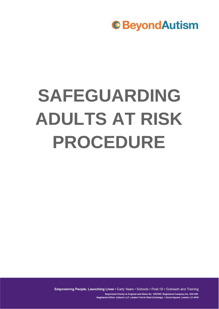# **SAFEGUARDING ADULTS AT RISK PROCEDURE**

Empowering People, Launching Lives • Early Years • Schools • Post-19 • Outreach and Training Registered Charity in England and Wales No. 1082599. Registered Company No. 4041459. Registered Office: Ashurst LLP, London Fruit & Wool Exchange, 1 Duval Square, London, E1 6PW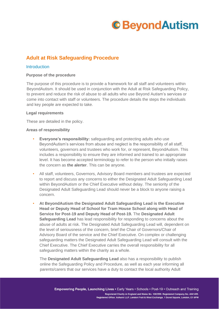### **Adult at Risk Safeguarding Procedure**

#### **Introduction**

#### **Purpose of the procedure**

The purpose of this procedure is to provide a framework for all staff and volunteers within BeyondAutism. It should be used in conjunction with the Adult at Risk Safeguarding Policy, to prevent and reduce the risk of abuse to all adults who use Beyond Autism's services or come into contact with staff or volunteers. The procedure details the steps the individuals and key people are expected to take.

#### **Legal requirements**

These are detailed in the policy.

#### **Areas of responsibility**

- **Everyone's responsibility:** safeguarding and protecting adults who use BeyondAutism's services from abuse and neglect is the responsibility of all staff, volunteers, governors and trustees who work for, or represent, BeyondAutism. This includes a responsibility to ensure they are informed and trained to an appropriate level. It has become accepted terminology to refer to the person who initially raises the concern as **the alerter**. This can be anyone.
- All staff, volunteers, Governors, Advisory Board members and trustees are expected to report and discuss any concerns to either the Designated Adult Safeguarding Lead within BeyondAutism or the Chief Executive without delay. The seniority of the Designated Adult Safeguarding Lead should never be a block to anyone raising a concern.
- **At BeyondAutism the Designated Adult Safeguarding Lead is the Executive Head or Deputy Head of School for Tram House School along with Head of Service for Post-19 and Deputy Head of Post-19.** The **Designated Adult Safeguarding Lead** has lead responsibility for responding to concerns about the abuse of adults at risk. The Designated Adult Safeguarding Lead will, dependent on the level of seriousness of the concern, brief the Chair of Governors/Chair of Advisory Board of the service and the Chief Executive. On complex or challenging safeguarding matters the Designated Adult Safeguarding Lead will consult with the Chief Executive. The Chief Executive carries the overall responsibility for all safeguarding matters within the charity as a whole.

The **Designated Adult Safeguarding Lead** also has a responsibility to publish online the Safeguarding Policy and Procedure, as well as each year informing all parents/carers that our services have a duty to contact the local authority Adult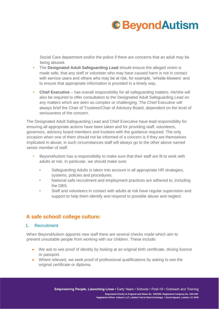Social Care department and/or the police if there are concerns that an adult may be being abused.

- The **Designated Adult Safeguarding Lead** should ensure the alleged victim is made safe, that any staff or volunteer who may have caused harm is not in contact with service users and others who may be at risk, for example, 'whistle-blowers' and to ensure that appropriate information is provided in a timely way.
- **Chief Executive** has overall responsibility for all safeguarding matters. He/she will also be required to offer consultation to the Designated Adult Safeguarding Lead on any matters which are seen as complex or challenging. The Chief Executive will always brief the Chair of Trustees/Chair of Advisory Board, dependent on the level of seriousness of the concern.

The Designated Adult Safeguarding Lead and Chief Executive have lead responsibility for ensuring all appropriate actions have been taken and for providing staff, volunteers, governors, advisory board members and trustees with the guidance required. The only occasion when one of them should not be informed of a concern is if they are themselves implicated in abuse; in such circumstances staff will always go to the other above named senior member of staff.

- BeyondAutism has a responsibility to make sure that their staff are fit to work with adults at risk. In particular, we should make sure:
	- Safeguarding Adults is taken into account in all appropriate HR strategies, systems, policies and procedures.
	- National safe recruitment and employment practices are adhered to, including the DBS.
	- Staff and volunteers in contact with adults at risk have regular supervision and support to help them identify and respond to possible abuse and neglect.

### **A safe school/ college culture:**

#### 1. Recruitment

When BeyondAutism appoints new staff there are several checks made which aim to prevent unsuitable people from working with our children. These include:

- We ask to see proof of identity by looking at an original birth certificate, driving licence or passport.
- Where relevant, we seek proof of professional qualifications by asking to see the original certificate or diploma.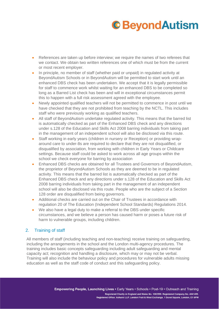- References are taken up before interview; we require the names of two referees that we contact. We obtain two written references one of which must be from the current or most recent employer.
- In principle, no member of staff (whether paid or unpaid) in regulated activity at BeyondAutism Schools or in BeyondAutism will be permitted to start work until an enhanced DBS check has been undertaken. We accept that it is legally permissible for staff to commence work whilst waiting for an enhanced DBS to be completed so long as a Barred List check has been and will in exceptional circumstances permit this to happen with a full risk assessment agreed with the employee.
- Newly appointed qualified teachers will not be permitted to commence in post until we have checked that they are not prohibited from teaching by the NCTL. This includes staff who were previously working as qualified teachers.
- All staff of BeyondAutism undertake regulated activity. This means that the barred list is automatically checked as part of the Enhanced DBS check and any directions under s.128 of the Education and Skills Act 2008 barring individuals from taking part in the management of an independent school will also be disclosed via this route.
- Staff working in early years (children in nursery or Reception) or providing wraparound care to under-8s are required to declare that they are not disqualified, or disqualified by association, from working with children in Early Years or Childcare settings. Because staff could be asked to work across all age groups within the school we check everyone for barring by association
- Enhanced DBS checks are obtained for all Trustees and Governors of BeyondAutism, the proprietor of BeyondAutism Schools as they are deemed to be in regulated activity. This means that the barred list is automatically checked as part of the Enhanced DBS check and any directions under s.128 of the Education and Skills Act 2008 barring individuals from taking part in the management of an independent school will also be disclosed via this route. People who are the subject of a Section 128 order are disqualified from being governors.
- Additional checks are carried out on the Chair of Trustees in accordance with regulation 20 of The Education (Independent School Standards) Regulations 2014.
- We also have a legal duty to make a referral to the DBS under specific circumstances, and we believe a person has caused harm or poses a future risk of harm to vulnerable groups, including children.

#### 2. Training of staff

All members of staff (including teaching and non-teaching) receive training on safeguarding, including the arrangements in the school and the London multi-agency procedures. The training includes basic concepts safeguarding including adult safeguarding and mental capacity act; recognition and handling a disclosure, which may or may not be verbal. Training will also include the behaviour policy and procedures for vulnerable adults missing education as well as the staff code of conduct and this safeguarding policy.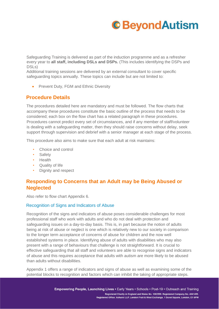Safeguarding Training is delivered as part of the induction programme and as a refresher every year to **all staff, including DSLs and DSPs.** (This includes identifying the DSPs and DSLs)

Additional training sessions are delivered by an external consultant to cover specific safeguarding topics annually. These topics can include but are not limited to:

• Prevent Duty, FGM and Ethnic Diversity

### **Procedure Details**

The procedures detailed here are mandatory and must be followed. The flow charts that accompany these procedures constitute the basic outline of the process that needs to be considered; each box on the flow chart has a related paragraph in these procedures. Procedures cannot predict every set of circumstances, and if any member of staff/volunteer is dealing with a safeguarding matter, then they should raise concerns without delay, seek support through supervision and debrief with a senior manager at each stage of the process.

This procedure also aims to make sure that each adult at risk maintains:

- Choice and control
- Safety
- Health
- Quality of life
- Dignity and respect

### **Responding to Concerns that an Adult may be Being Abused or Neglected**

Also refer to flow chart Appendix 6.

#### Recognition of Signs and Indicators of Abuse

Recognition of the signs and indicators of abuse poses considerable challenges for most professional staff who work with adults and who do not deal with protection and safeguarding issues on a day-to-day basis. This is, in part because the notion of adults being at risk of abuse or neglect is one which is relatively new to our society in comparison to the longer term acceptance of concerns of abuse for children and the now well established systems in place. Identifying abuse of adults with disabilities who may also present with a range of behaviours that challenge is not straightforward. It is crucial to effective safeguarding that all staff and volunteers are able to recognise signs and indicators of abuse and this requires acceptance that adults with autism are more likely to be abused than adults without disabilities.

Appendix 1 offers a range of indicators and signs of abuse as well as examining some of the potential blocks to recognition and factors which can inhibit the taking of appropriate steps.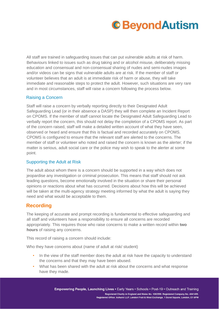All staff are trained in safeguarding issues that can put vulnerable adults at risk of harm. Behaviours linked to issues such as drug taking and or alcohol misuse, deliberately missing education and consensual and non-consensual sharing of nudes and semi-nudes images and/or videos can be signs that vulnerable adults are at risk. If the member of staff or volunteer believes that an adult is at immediate risk of harm or abuse, they will take immediate and reasonable steps to protect the adult. However, such situations are very rare and in most circumstances, staff will raise a concern following the process below.

#### Raising a Concern

Staff will raise a concern by verbally reporting directly to their Designated Adult Safeguarding Lead (or in their absence a DASP) they will then complete an Incident Report on CPOMS. If the member of staff cannot locate the Designated Adult Safeguarding Lead to verbally report the concern, this should not delay the completion of a CPOMS report. As part of the concern raised, staff will make a detailed written account of what they have seen, observed or heard and ensure that this is factual and recorded accurately on CPOMS. CPOMS is configured to ensure that the relevant staff are alerted to the concerns. The member of staff or volunteer who noted and raised the concern is known as the alerter; if the matter is serious, adult social care or the police may wish to speak to the alerter at some point.

#### Supporting the Adult at Risk

The adult about whom there is a concern should be supported in a way which does not jeopardise any investigation or criminal prosecution. This means that staff should not ask leading questions, become emotionally involved in the situation or share their personal opinions or reactions about what has occurred. Decisions about how this will be achieved will be taken at the multi-agency strategy meeting informed by what the adult is saying they need and what would be acceptable to them.

### **Recording**

The keeping of accurate and prompt recording is fundamental to effective safeguarding and all staff and volunteers have a responsibility to ensure all concerns are recorded appropriately. This requires those who raise concerns to make a written record within **two hours** of raising any concerns.

This record of raising a concern should include:

Who they have concerns about (name of adult at risk/ student)

- In the view of the staff member does the adult at risk have the capacity to understand the concerns and that they may have been abused.
- What has been shared with the adult at risk about the concerns and what response have they made.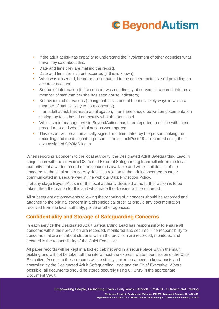- If the adult at risk has capacity to understand the involvement of other agencies what have they said about this.
- Date and time they are making the record.
- Date and time the incident occurred (if this is known).
- What was observed, heard or noted that led to the concern being raised providing an accurate account.
- Source of information (if the concern was not directly observed i.e. a parent informs a member of staff that he/ she has seen abuse indicators).
- Behavioural observations (noting that this is one of the most likely ways in which a member of staff is likely to note concerns).
- If an adult at risk has made an allegation, then there should be written documentation stating the facts based on exactly what the adult said.
- Which senior manager within BeyondAutism has been reported to (in line with these procedures) and what initial actions were agreed.
- This record will be automatically signed and time/dated by the person making the recording and the designated person in the school/Post-19 or recorded using their own assigned CPOMS log in.

When reporting a concern to the local authority, the Designated Adult Safeguarding Lead in conjunction with the service's DSL's and External Safeguarding team will inform the local authority that a written record of the concern is available and will e-mail details of the concerns to the local authority. Any details in relation to the adult concerned must be communicated in a secure way in line with our Data Protection Policy.

If at any stage BeyondAutism or the local authority decide that no further action is to be taken, then the reason for this and who made the decision will be recorded.

All subsequent actions/events following the reporting of a concern should be recorded and attached to the original concern in a chronological order as should any documentation received from the local authority, police or other agencies.

### **Confidentiality and Storage of Safeguarding Concerns**

In each service the Designated Adult Safeguarding Lead has responsibility to ensure all concerns within their provision are recorded, monitored and secured. The responsibility for concerns that are not about students within the provision are recorded, monitored and secured is the responsibility of the Chief Executive.

All paper records will be kept in a locked cabinet and in a secure place within the main building and will not be taken off the site without the express written permission of the Chief Executive. Access to these records will be strictly limited on a need to know basis and controlled by the Designated Adult Safeguarding Lead and the Chief Executive. Where possible, all documents should be stored securely using CPOMS in the appropriate Document Vault.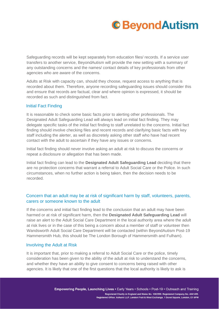Safeguarding records will be kept separately from education files/ records. If a service user transfers to another service, BeyondAutism will provide the new setting with a summary of any outstanding concerns and the names/ contact details of key professionals from other agencies who are aware of the concerns.

Adults at Risk with capacity can, should they choose, request access to anything that is recorded about them. Therefore, anyone recording safeguarding issues should consider this and ensure that records are factual, clear and where opinion is expressed, it should be recorded as such and distinguished from fact.

#### Initial Fact Finding

It is reasonable to check some basic facts prior to alerting other professionals. The Designated Adult Safeguarding Lead will always lead on initial fact finding. They may delegate specific tasks of the initial fact finding to staff unrelated to the concerns. Initial fact finding should involve checking files and recent records and clarifying basic facts with key staff including the alerter, as well as discretely asking other staff who have had recent contact with the adult to ascertain if they have any issues or concerns.

Initial fact finding should never involve asking an adult at risk to discuss the concerns or repeat a disclosure or allegation that has been made.

Initial fact finding can lead to the **Designated Adult Safeguarding Lead** deciding that there are no protection concerns that warrant a referral to Adult Social Care or the Police. In such circumstances, when no further action is being taken, then the decision needs to be recorded.

#### Concern that an adult may be at risk of significant harm by staff, volunteers, parents, carers or someone known to the adult

If the concerns and initial fact finding lead to the conclusion that an adult may have been harmed or at risk of significant harm, then the **Designated Adult Safeguarding Lead** will raise an alert to the Adult Social Care Department in the local authority area where the adult at risk lives or in the case of this being a concern about a member of staff or volunteer then Wandsworth Adult Social Care Department will be contacted (within BeyondAutism Post-19 Hammersmith Hub, this should be The London Borough of Hammersmith and Fulham).

#### Involving the Adult at Risk

It is important that, prior to making a referral to Adult Social Care or the police, timely consideration has been given to the ability of the adult at risk to understand the concerns, and whether they have an ability to give consent to concerns being raised with other agencies. It is likely that one of the first questions that the local authority is likely to ask is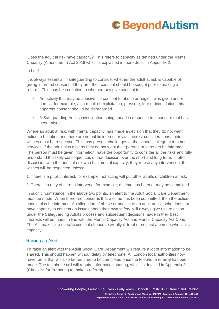'Does the adult at risk have capacity?' This refers to capacity as defined under the Mental Capacity (Amendment) Act 2019 which is explained in more detail in Appendix 2.

In brief:

It is always essential in safeguarding to consider whether the adult at risk is capable of giving informed consent. If they are, their consent should be sought prior to making a referral. This may be in relation to whether they give consent to:

- An activity that may be abusive if consent to abuse or neglect was given under duress, for example, as a result of exploitation, pressure, fear or intimidation, this apparent consent should be disregarded.
- A Safeguarding Adults investigation going ahead in response to a concern that has been raised.

Where an adult at risk, with mental capacity, has made a decision that they do not want action to be taken and there are no public interest or vital interest considerations, their wishes must be respected. This may present challenges at the school, college or in other services, if the adult also asserts they do not want their parents or carers to be informed. The person must be given information, have the opportunity to consider all the risks and fully understand the likely consequences of that decision over the short and long term. If, after discussion with the adult at risk who has mental capacity, they refuse any intervention, their wishes will be respected *unless*:

- 1. There is a public interest, for example, not acting will put other adults or children at risk.
- 2. There is a duty of care to intervene, for example, a crime has been or may be committed.

In such circumstance in the above two points, an alert to the Adult Social Care Department must be made. When there are concerns that a crime has been committed, then the police should also be informed. An allegation of abuse or neglect of an adult at risk, who does not have capacity to consent on issues about their own safety, will always give rise to action under the Safeguarding Adults process and subsequent decisions made in their best interests will be made in line with the Mental Capacity Act and Mental Capacity Act *Code*. The Act makes it a specific criminal offence to wilfully ill-treat or neglect a person who lacks capacity.

#### Raising an Alert

To raise an alert with the Adult Social Care Department will require a lot of information to be shared. This should happen without delay by telephone. All London local authorities now have forms that will also be required to be completed once the telephone referral has been made. The telephone call will require information sharing, which is detailed in Appendix 3, (Checklist for Preparing to make a referral).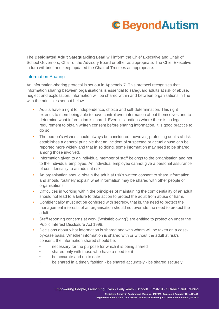The **Designated Adult Safeguarding Lead** will inform the Chief Executive and Chair of School Governors, Chair of the Advisory Board or other as appropriate. The Chief Executive in turn will brief and keep updated the Chair of Trustees as appropriate.

#### Information Sharing

An information-sharing protocol is set out in Appendix 7. This protocol recognises that information sharing between organisations is essential to safeguard adults at risk of abuse, neglect and exploitation. Information will be shared within and between organisations in line with the principles set out below.

- Adults have a right to independence, choice and self-determination. This right extends to them being able to have control over information about themselves and to determine what information is shared. Even in situations where there is no legal requirement to obtain written consent before sharing information, it is good practice to do so.
- The person's wishes should always be considered, however, protecting adults at risk establishes a general principle that an incident of suspected or actual abuse can be reported more widely and that in so doing, some information may need to be shared among those involved.
- Information given to an individual member of staff belongs to the organisation and not to the individual employee. An individual employee cannot give a personal assurance of confidentiality to an adult at risk.
- An organisation should obtain the adult at risk's written consent to share information and should routinely explain what information may be shared with other people or organisations.
- Difficulties in working within the principles of maintaining the confidentiality of an adult should not lead to a failure to take action to protect the adult from abuse or harm.
- Confidentiality must not be confused with secrecy, that is, the need to protect the management interests of an organisation should not override the need to protect the adult.
- Staff reporting concerns at work ('whistleblowing') are entitled to protection under the Public Interest Disclosure Act 1998.
- Decisions about what information is shared and with whom will be taken on a caseby-case basis. Whether information is shared with or without the adult at risk's consent, the information shared should be:
	- necessary for the purpose for which it is being shared
	- shared only with those who have a need for it
	- be accurate and up to date
	- be shared in a timely fashion be shared accurately be shared securely.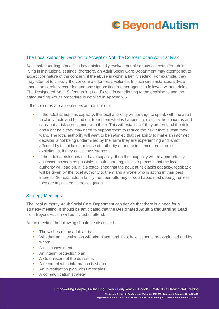#### The Local Authority Decision to Accept or Not, the Concern of an Adult at Risk

Adult safeguarding processes have historically evolved out of serious concerns for adults living in institutional settings; therefore, an Adult Social Care Department may attempt not to accept the nature of the concern, if the abuse is within a family setting. For example, they may attempt to classify the concern as domestic violence. In such circumstances, advice should be carefully recorded and any signposting to other agencies followed without delay. The Designated Adult Safeguarding Lead's role in contributing to the decision to use the safeguarding Adults procedure is detailed in Appendix 5.

If the concerns are accepted as an adult at risk:

- If the adult at risk has capacity, the local authority will arrange to speak with the adult to clarify facts and to find out from them what is happening, discuss the concerns and carry out a risk assessment with them. This will establish if they understand the risk and what help they may need to support them to reduce the risk if that is what they want. The local authority will want to be satisfied that the ability to make an informed decision is not being undermined by the harm they are experiencing and is not affected by intimidation, misuse of authority or undue influence, pressure or exploitation, if they decline assistance.
- If the adult at risk does not have capacity, then their capacity will be appropriately assessed as soon as possible; in safeguarding, this is a process that the local authority will lead on. If it is established that the adult at risk lacks capacity, feedback will be given by the local authority to them and anyone who is acting in their best interests (for example, a family member, attorney or court appointed deputy), unless they are implicated in the allegation.

#### Strategy Meetings

The local authority Adult Social Care Department can decide that there is a need for a strategy meeting. It should be anticipated that the **Designated Adult Safeguarding Lead** from BeyondAutism will be invited to attend.

At the meeting the following should be discussed:

- The wishes of the adult at risk
- Whether an investigation will take place, and if so, how it should be conducted and by whom
- A risk assessment
- An interim protection plan
- A clear record of the decisions
- A record of what information is shared
- An investigation plan with timescales
- A communication strategy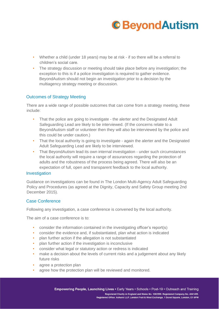- Whether a child (under 18 years) may be at risk if so there will be a referral to children's social care.
- The strategy discussion or meeting should take place before any investigation; the exception to this is if a police investigation is required to gather evidence. BeyondAutism should not begin an investigation prior to a decision by the multiagency strategy meeting or discussion.

#### Outcomes of Strategy Meeting

There are a wide range of possible outcomes that can come from a strategy meeting, these include:

- That the police are going to investigate the alerter and the Designated Adult Safeguarding Lead are likely to be interviewed. (If the concerns relate to a BeyondAutism staff or volunteer then they will also be interviewed by the police and this could be under caution.)
- That the local authority is going to investigate again the alerter and the Designated Adult Safeguarding Lead are likely to be interviewed.
- That BeyondAutism lead its own internal investigation under such circumstances the local authority will require a range of assurances regarding the protection of adults and the robustness of the process being agreed. There will also be an expectation of full, open and transparent feedback to the local authority.

#### **Investigation**

Guidance on investigations can be found in The London Multi-Agency Adult Safeguarding Policy and Procedures (as agreed at the Dignity, Capacity and Safety Group meeting 2nd December 2015).

#### Case Conference

Following any investigation, a case conference is convened by the local authority.

The aim of a case conference is to:

- consider the information contained in the investigating officer's report(s)
- consider the evidence and, if substantiated, plan what action is indicated
- plan further action if the allegation is not substantiated
- plan further action if the investigation is inconclusive
- consider what legal or statutory action or redress is indicated
- make a decision about the levels of current risks and a judgement about any likely future risks
- agree a protection plan
- agree how the protection plan will be reviewed and monitored.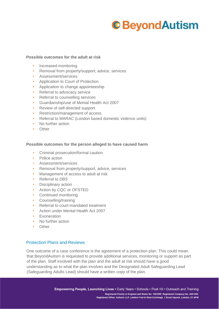#### **Possible outcomes for the adult at risk**

- Increased monitoring
- Removal from property/support, advice, services
- Assessment/services
- Application to Court of Protection
- Application to change appointeeship
- Referral to advocacy service
- Referral to counselling services
- Guardianship/use of Mental Health Act 2007
- Review of self-directed support
- Restriction/management of access
- Referral to MARAC (London based domestic violence units)
- No further action
- Other

#### **Possible outcomes for the person alleged to have caused harm**

- Criminal prosecution/formal caution
- Police action
- Assessment/services
- Removal from property/support, advice, services
- Management of access to adult at risk
- Referral to *DBS*
- Disciplinary action
- Action by CQC or OFSTED
- Continued monitoring
- Counselling/training
- Referral to court-mandated treatment
- Action under Mental Health Act 2007
- Exoneration
- No further action
- Other

#### Protection Plans and Reviews

One outcome of a case conference is the agreement of a protection plan. This could mean that BeyondAutism is requested to provide additional services, monitoring or support as part of the plan. Staff involved with the plan and the adult at risk should have a good understanding as to what the plan involves and the Designated Adult Safeguarding Lead (Safeguarding Adults Lead) should have a written copy of the plan.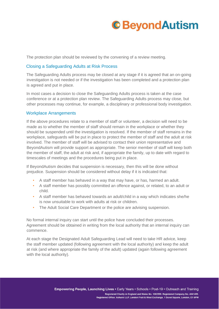

The protection plan should be reviewed by the convening of a review meeting.

#### Closing a Safeguarding Adults at Risk Process

The Safeguarding Adults process may be closed at any stage if it is agreed that an on-going investigation is not needed or if the investigation has been completed and a protection plan is agreed and put in place.

In most cases a decision to close the Safeguarding Adults process is taken at the case conference or at a protection plan review. The Safeguarding Adults process may close, but other processes may continue, for example, a disciplinary or professional body investigation.

#### Workplace Arrangements

If the above procedures relate to a member of staff or volunteer, a decision will need to be made as to whether the member of staff should remain in the workplace or whether they should be suspended until the investigation is resolved. If the member of staff remains in the workplace, safeguards will be put in place to protect the member of staff and the adult at risk involved. The member of staff will be advised to contact their union representative and BeyondAutism will provide support as appropriate. The senior member of staff will keep both the member of staff, the adult at risk and, if appropriate the family, up to date with regard to timescales of meetings and the procedures being put in place.

If BeyondAutism decides that suspension is necessary, then this will be done without prejudice. Suspension should be considered without delay if it is indicated that:

- A staff member has behaved in a way that may have, or has, harmed an adult.
- A staff member has possibly committed an offence against, or related, to an adult or child.
- A staff member has behaved towards an adult/child in a way which indicates she/he is now unsuitable to work with adults at risk or children.
- The Adult Social Care Department or the police are advising suspension.

No formal internal inquiry can start until the police have concluded their processes. Agreement should be obtained in writing from the local authority that an internal inquiry can commence.

At each stage the Designated Adult Safeguarding Lead will need to take HR advice, keep the staff member updated (following agreement with the local authority) and keep the adult at risk (and where appropriate the family of the adult) updated (again following agreement with the local authority).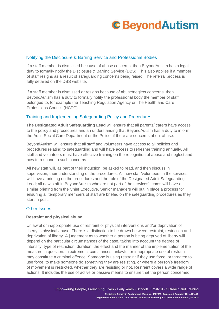#### Notifying the Disclosure & Barring Service and Professional Bodies

If a staff member is dismissed because of abuse concerns, then BeyondAutism has a legal duty to formally notify the Disclosure & Barring Service (DBS). This also applies if a member of staff resigns as a result of safeguarding concerns being raised. The referral process is fully detailed on the DBS website.

If a staff member is dismissed or resigns because of abuse/neglect concerns, then BeyondAutism has a duty to formally notify the professional body the member of staff belonged to, for example the Teaching Regulation Agency or The Health and Care Professions Council (HCPC).

#### Training and Implementing Safeguarding Policy and Procedures

**The Designated Adult Safeguarding Lead** will ensure that all parents/ carers have access to the policy and procedures and an understanding that BeyondAutism has a duty to inform the Adult Social Care Department or the Police, if there are concerns about abuse.

BeyondAutism will ensure that all staff and volunteers have access to all policies and procedures relating to safeguarding and will have access to refresher training annually. All staff and volunteers must have effective training on the recognition of abuse and neglect and how to respond to such concerns.

All new staff will, as part of their induction, be asked to read, and then discuss in supervision, their understanding of the procedures. All new staff/volunteers in the services will have a briefing on the procedures and the role of the Designated Adult Safeguarding Lead; all new staff in BeyondAutism who are not part of the services' teams will have a similar briefing from the Chief Executive. Senior managers will put in place a process for ensuring all temporary members of staff are briefed on the safeguarding procedures as they start in post.

#### Other Issues

#### **Restraint and physical abuse**

Unlawful or inappropriate use of restraint or physical interventions and/or deprivation of liberty is physical abuse. There is a distinction to be drawn between restraint, restriction and deprivation of liberty. A judgement as to whether a person is being deprived of liberty will depend on the particular circumstances of the case, taking into account the degree of intensity, type of restriction, duration, the effect and the manner of the implementation of the measure in question. In extreme circumstances, unlawful or inappropriate use of restraint may constitute a criminal offence. Someone is using restraint if they use force, or threaten to use force, to make someone do something they are resisting, or where a person's freedom of movement is restricted, whether they are resisting or not. Restraint covers a wide range of actions. It includes the use of active or passive means to ensure that the person concerned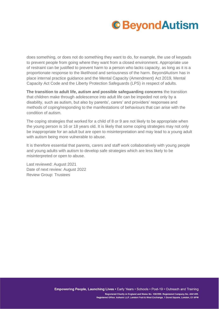does something, or does not do something they want to do, for example, the use of keypads to prevent people from going where they want from a closed environment. Appropriate use of restraint can be justified to prevent harm to a person who lacks capacity, as long as it is a proportionate response to the likelihood and seriousness of the harm. BeyondAutism has in place internal practice guidance and the Mental Capacity (Amendment) Act 2019, Mental Capacity Act Code and the Liberty Protection Safeguards (LPS) in respect of adults.

**The transition to adult life, autism and possible safeguarding concerns** the transition that children make through adolescence into adult life can be impeded not only by a disability, such as autism, but also by parents', carers' and providers' responses and methods of coping/responding to the manifestations of behaviours that can arise with the condition of autism.

The coping strategies that worked for a child of 8 or 9 are not likely to be appropriate when the young person is 16 or 18 years old. It is likely that some coping strategies may not only be inappropriate for an adult but are open to misinterpretation and may lead to a young adult with autism being more vulnerable to abuse.

It is therefore essential that parents, carers and staff work collaboratively with young people and young adults with autism to develop safe strategies which are less likely to be misinterpreted or open to abuse.

Last reviewed: August 2021 Date of next review: August 2022 Review Group: Trustees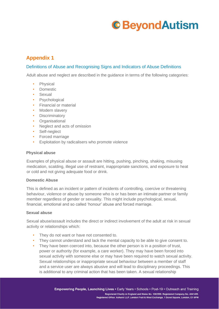### **Appendix 1**

#### Definitions of Abuse and Recognising Signs and Indicators of Abuse Definitions

Adult abuse and neglect are described in the guidance in terms of the following categories:

- **Physical**
- Domestic
- Sexual
- Psychological
- Financial or material
- Modern slavery
- Discriminatory
- Organisational
- Neglect and acts of omission
- Self-neglect
- Forced marriage
- Exploitation by radicalisers who promote violence

#### **Physical abuse**

Examples of physical abuse or assault are hitting, pushing, pinching, shaking, misusing medication, scalding, illegal use of restraint, inappropriate sanctions, and exposure to heat or cold and not giving adequate food or drink.

#### **Domestic Abuse**

This is defined as an incident or pattern of incidents of controlling, coercive or threatening behaviour, violence or abuse by someone who is or has been an intimate partner or family member regardless of gender or sexuality. This might include psychological, sexual, financial, emotional and so called 'honour' abuse and forced marriage.

#### **Sexual abuse**

Sexual abuse/assault includes the direct or indirect involvement of the adult at risk in sexual activity or relationships which:

- They do not want or have not consented to.
- They cannot understand and lack the mental capacity to be able to give consent to.
- They have been coerced into, because the other person is in a position of trust, power or authority (for example, a care worker). They may have been forced into sexual activity with someone else or may have been required to watch sexual activity. Sexual relationships or inappropriate sexual behaviour between a member of staff and a service user are always abusive and will lead to disciplinary proceedings. This is additional to any criminal action that has been taken. A sexual relationship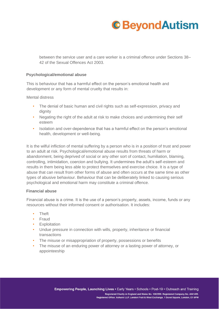between the service user and a care worker is a criminal offence under Sections 38– 42 of the Sexual Offences Act 2003.

#### **Psychological/emotional abuse**

This is behaviour that has a harmful effect on the person's emotional health and development or any form of mental cruelty that results in:

Mental distress

- The denial of basic human and civil rights such as self-expression, privacy and dignity
- Negating the right of the adult at risk to make choices and undermining their self esteem
- Isolation and over-dependence that has a harmful effect on the person's emotional health, development or well-being.

It is the wilful infliction of mental suffering by a person who is in a position of trust and power to an adult at risk. Psychological/emotional abuse results from threats of harm or abandonment, being deprived of social or any other sort of contact, humiliation, blaming, controlling, intimidation, coercion and bullying. It undermines the adult's self-esteem and results in them being less able to protect themselves and exercise choice. It is a type of abuse that can result from other forms of abuse and often occurs at the same time as other types of abusive behaviour. Behaviour that can be deliberately linked to causing serious psychological and emotional harm may constitute a criminal offence.

#### **Financial abuse**

Financial abuse is a crime. It is the use of a person's property, assets, income, funds or any resources without their informed consent or authorisation. It includes:

- Theft
- Fraud
- Exploitation
- Undue pressure in connection with wills, property, inheritance or financial transactions
- The misuse or misappropriation of property, possessions or benefits
- The misuse of an enduring power of attorney or a lasting power of attorney, or appointeeship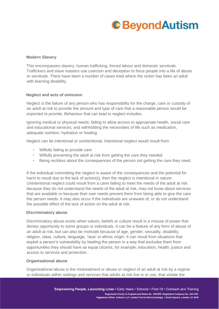#### **Modern Slavery**

This encompasses slavery, human trafficking, forced labour and domestic servitude. Traffickers and slave masters use coercion and deception to force people into a life of abuse or servitude. There have been a number of cases tried where the victim has been an adult with learning disability.

#### **Neglect and acts of omission**

Neglect is the failure of any person who has responsibility for the charge, care or custody of an adult at risk to provide the amount and type of care that a reasonable person would be expected to provide. Behaviour that can lead to neglect includes:

Ignoring medical or physical needs; failing to allow access to appropriate health, social care and educational services; and withholding the necessities of life such as medication, adequate nutrition, hydration or healing.

Neglect can be intentional or unintentional. Intentional neglect would result from:

- Wilfully failing to provide care
- Wilfully preventing the adult at risk from getting the care they needed
- Being reckless about the consequences of the person not getting the care they need.

If the individual committing the neglect is aware of the consequences and the potential for harm to result due to the lack of action(s), then the neglect is intentional in nature. Unintentional neglect could result from a carer failing to meet the needs of the adult at risk because they do not understand the needs of the adult at risk, may not know about services that are available or because their own needs prevent them from being able to give the care the person needs. It may also occur if the individuals are unaware of, or do not understand the possible effect of the lack of action on the adult at risk.

#### **Discriminatory abuse**

Discriminatory abuse exists when values, beliefs or culture result in a misuse of power that denies opportunity to some groups or individuals. It can be a feature of any form of abuse of an adult at risk, but can also be motivate because of age, gender, sexuality, disability, religion, class, culture, language, 'race' or ethnic origin. It can result from situations that exploit a person's vulnerability by treating the person in a way that excludes them from opportunities they should have as equal citizens, for example; education, health, justice and access to services and protection.

#### **Organisational abuse**

Organisational abuse is the mistreatment or abuse or neglect of an adult at risk by a regime or individuals within settings and services that adults at risk live in or use, that violate the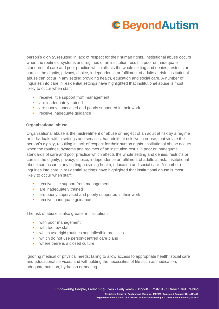person's dignity, resulting in lack of respect for their human rights. Institutional abuse occurs when the routines, systems and regimes of an institution result in poor or inadequate standards of care and poor practice which affects the whole setting and denies, restricts or curtails the dignity, privacy, choice, independence or fulfilment of adults at risk. Institutional abuse can occur in any setting providing health, education and social care. A number of inquiries into care in residential settings have highlighted that institutional abuse is most likely to occur when staff:

- receive little support from management
- are inadequately trained
- are poorly supervised and poorly supported in their work
- receive inadequate guidance

#### **Organisational abuse**

Organisational abuse is the mistreatment or abuse or neglect of an adult at risk by a regime or individuals within settings and services that adults at risk live in or use, that violate the person's dignity, resulting in lack of respect for their human rights. Institutional abuse occurs when the routines, systems and regimes of an institution result in poor or inadequate standards of care and poor practice which affects the whole setting and denies, restricts or curtails the dignity, privacy, choice, independence or fulfilment of adults at risk. Institutional abuse can occur in any setting providing health, education and social care. A number of inquiries into care in residential settings have highlighted that institutional abuse is most likely to occur when staff:

- receive little support from management
- are inadequately trained
- are poorly supervised and poorly supported in their work
- receive inadequate quidance

The risk of abuse is also greater in institutions:

- with poor management
- with too few staff
- which use rigid routines and inflexible practices
- which do not use person-centred care plans
- where there is a closed culture.

Ignoring medical or physical needs; failing to allow access to appropriate health, social care and educational services; and withholding the necessities of life such as medication, adequate nutrition, hydration or heating.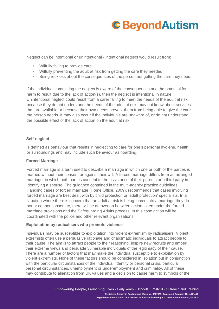Neglect can be intentional or unintentional - intentional neglect would result from:

- Wilfully failing to provide care
- Wilfully preventing the adult at risk from getting the care they needed
- Being reckless about the consequences of the person not getting the care they need.

If the individual committing the neglect is aware of the consequences and the potential for harm to result due to the lack of action(s), then the neglect is intentional in nature. Unintentional neglect could result from a carer failing to meet the needs of the adult at risk because they do not understand the needs of the adult at risk, may not know about services that are available or because their own needs prevent them from being able to give the care the person needs. It may also occur if the individuals are unaware of, or do not understand the possible effect of the lack of action on the adult at risk.

#### **Self-neglect**

Is defined as behaviour that results in neglecting to care for one's personal hygiene, health or surroundings and may include such behaviour as hoarding.

#### **Forced Marriage**

Forced marriage is a term used to describe a marriage in which one or both of the parties is married without their consent or against their will. A forced marriage differs from an arranged marriage, in which both parties consent to the assistance of their parents or a third party in identifying a spouse. The guidance contained in the multi-agency practice guidelines, Handling cases of forced marriage (Home Office, 2009), recommends that cases involving forced marriage are best dealt with by child protection or 'adult protection' specialists. In a situation where there is concern that an adult at risk is being forced into a marriage they do not or cannot consent to, there will be an overlap between action taken under the forced marriage provisions and the Safeguarding Adults process. In this case action will be coordinated with the police and other relevant organisations.

#### **Exploitation by radicalisers who promote violence**

Individuals may be susceptible to exploitation into violent extremism by radicalisers. Violent extremists often use a persuasive rationale and charismatic individuals to attract people to their cause. The aim is to attract people to their reasoning, inspire new recruits and embed their extreme views and persuade vulnerable individuals of the legitimacy of their cause. There are a number of factors that may make the individual susceptible to exploitation by violent extremists. None of these factors should be considered in isolation but in conjunction with the particular circumstances of the individual: identity or personal crisis, particular personal circumstances, unemployment or underemployment and criminality. All of these may contribute to alienation from UK values and a decision to cause harm to symbols of the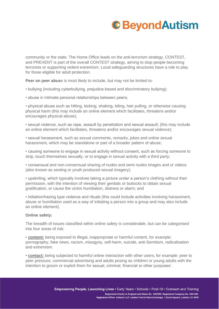community or the state. The Home Office leads on the anti-terrorism strategy, CONTEST, and PREVENT is part of the overall CONTEST strategy, aiming to stop people becoming terrorists or supporting violent extremism. Local safeguarding structures have a role to play for those eligible for adult protection.

**Peer on peer abus**e is most likely to include, but may not be limited to:

- bullying (including cyberbullying, prejudice-based and discriminatory bullying);
- abuse in intimate personal relationships between peers;

• physical abuse such as hitting, kicking, shaking, biting, hair pulling, or otherwise causing physical harm (this may include an online element which facilitates, threatens and/or encourages physical abuse);

• sexual violence, such as rape, assault by penetration and sexual assault; (this may include an online element which facilitates, threatens and/or encourages sexual violence);

• sexual harassment, such as sexual comments, remarks, jokes and online sexual harassment, which may be standalone or part of a broader pattern of abuse;

• causing someone to engage in sexual activity without consent, such as forcing someone to strip, touch themselves sexually, or to engage in sexual activity with a third party;

• consensual and non-consensual sharing of nudes and semi nudes images and or videos (also known as sexting or youth produced sexual imagery);

• upskirting, which typically involves taking a picture under a person's clothing without their permission, with the intention of viewing their genitals or buttocks to obtain sexual gratification, or cause the victim humiliation, distress or alarm; and

• initiation/hazing type violence and rituals (this could include activities involving harassment, abuse or humiliation used as a way of initiating a person into a group and may also include an online element).

#### **Online safety:**

The breadth of issues classified within online safety is considerable, but can be categorised into four areas of risk:

• **content:** being exposed to illegal, inappropriate or harmful content, for example: pornography, fake news, racism, misogyny, self-harm, suicide, anti-Semitism, radicalisation and extremism.

• **contact:** being subjected to harmful online interaction with other users; for example: peer to peer pressure, commercial advertising and adults posing as children or young adults with the intention to groom or exploit them for sexual, criminal, financial or other purposes'.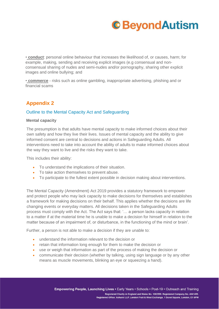

• **conduct**: personal online behaviour that increases the likelihood of, or causes, harm; for example, making, sending and receiving explicit images (e.g consensual and nonconsensual sharing of nudes and semi-nudes and/or pornography, sharing other explicit images and online bullying; and

• **commerce** - risks such as online gambling, inappropriate advertising, phishing and or financial scams

### **Appendix 2**

#### Outline to the Mental Capacity Act and Safeguarding

#### **Mental capacity**

The presumption is that adults have mental capacity to make informed choices about their own safety and how they live their lives. Issues of mental capacity and the ability to give informed consent are central to decisions and actions in Safeguarding Adults. All interventions need to take into account the ability of adults to make informed choices about the way they want to live and the risks they want to take.

This includes their ability:

- To understand the implications of their situation.
- To take action themselves to prevent abuse.
- To participate to the fullest extent possible in decision making about interventions.

The Mental Capacity (Amendment) Act 2019 provides a statutory framework to empower and protect people who may lack capacity to make decisions for themselves and establishes a framework for making decisions on their behalf. This applies whether the decisions are life changing events or everyday matters. All decisions taken in the Safeguarding Adults process must comply with the Act. The Act says that: '… a person lacks capacity in relation to a matter if at the material time he is unable to make a decision for himself in relation to the matter because of an impairment of, or disturbance, in the functioning of the mind or brain'.

Further, a person is not able to make a decision if they are unable to:

- understand the information relevant to the decision or
- retain that information long enough for them to make the decision or
- use or weigh that information as part of the process of making the decision or
- communicate their decision (whether by talking, using sign language or by any other means as muscle movements, blinking an eye or squeezing a hand).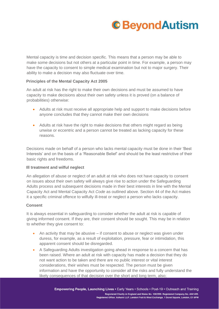

Mental capacity is time and decision specific. This means that a person may be able to make some decisions but not others at a particular point in time. For example, a person may have the capacity to consent to simple medical examination but not to major surgery. Their ability to make a decision may also fluctuate over time.

#### **Principles of the Mental Capacity Act 2005**

An adult at risk has the right to make their own decisions and must be assumed to have capacity to make decisions about their own safety unless it is proved (on a balance of probabilities) otherwise:

- Adults at risk must receive all appropriate help and support to make decisions before anyone concludes that they cannot make their own decisions
- Adults at risk have the right to make decisions that others might regard as being unwise or eccentric and a person cannot be treated as lacking capacity for these reasons.

Decisions made on behalf of a person who lacks mental capacity must be done in their 'Best Interests' and on the basis of a 'Reasonable Belief' and should be the least restrictive of their basic rights and freedoms.

#### **Ill treatment and wilful neglect**

An allegation of abuse or neglect of an adult at risk who does not have capacity to consent on issues about their own safety will always give rise to action under the Safeguarding Adults process and subsequent decisions made in their best interests in line with the Mental Capacity Act and Mental Capacity Act *Code* as outlined above. Section 44 of the Act makes it a specific criminal offence to wilfully ill-treat or neglect a person who lacks capacity.

#### **Consent**

It is always essential in safeguarding to consider whether the adult at risk is capable of giving informed consent. If they are, their consent should be sought. This may be in relation to whether they give consent to:

- An activity that may be abusive if consent to abuse or neglect was given under duress, for example, as a result of exploitation, pressure, fear or intimidation, this apparent consent should be disregarded.
- A Safeguarding Adults investigation going ahead in response to a concern that has been raised. Where an adult at risk with capacity has made a decision that they do not want action to be taken and there are no public interest or vital interest considerations, their wishes must be respected. The person must be given information and have the opportunity to consider all the risks and fully understand the likely consequences of that decision over the short and long term, also;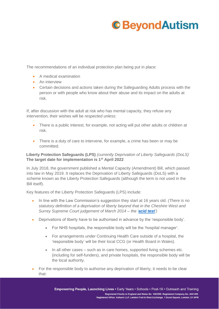The recommendations of an individual protection plan being put in place:

- A medical examination
- An interview
- Certain decisions and actions taken during the Safeguarding Adults process with the person or with people who know about their abuse and its impact on the adults at risk.

If, after discussion with the adult at risk who has mental capacity, they refuse any intervention, their wishes will be *respected unless*:

- There is a public interest, for example, not acting will put other adults or children at risk.
- There is a duty of care to intervene, for example, a crime has been or may be committed.

#### **Liberty Protection Safeguards (LPS)** *(currently Deprivation of Liberty Safeguards (DoLS)* **The target date for implementation is 1st April 2022**

In July 2018, the government published a Mental Capacity (Amendment) Bill, which passed into law in May 2019. It replaces the Deprivation of Liberty Safeguards (DoLS) with a scheme known as the Liberty Protection Safeguards (although the term is not used in the Bill itself).

Key features of the Liberty Protection Safeguards (LPS) include:

- In line with the Law Commission's suggestion they start at 16 years old. *(There is no statutory definition of a deprivation of liberty beyond that in the Cheshire West and Surrey Supreme Court judgement of March 2014 – the '[acid test](https://www.scie.org.uk/mca/dols/at-a-glance)')*
- Deprivations of liberty have to be authorised in advance by the 'responsible body'.
	- For NHS hospitals, the responsible body will be the 'hospital manager'.
	- For arrangements under Continuing Health Care outside of a hospital, the 'responsible body' will be their local CCG (or Health Board in Wales).
	- In all other cases such as in care homes, supported living schemes etc. (including for self-funders), and private hospitals, the responsible body will be the local authority.
- For the responsible body to authorise any deprivation of liberty, it needs to be clear that: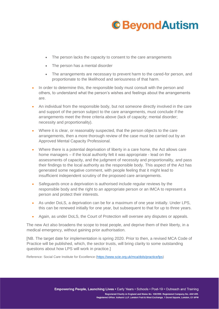- The person lacks the capacity to consent to the care arrangements
- The person has a mental disorder
- The arrangements are necessary to prevent harm to the cared-for person, and proportionate to the likelihood and seriousness of that harm.
- In order to determine this, the responsible body must consult with the person and others, to understand what the person's wishes and feelings about the arrangements are.
- An individual from the responsible body, but not someone directly involved in the care and support of the person subject to the care arrangements, must conclude if the arrangements meet the three criteria above (lack of capacity; mental disorder; necessity and proportionality).
- Where it is clear, or reasonably suspected, that the person objects to the care arrangements, then a more thorough review of the case must be carried out by an Approved Mental Capacity Professional.
- Where there is a potential deprivation of liberty in a care home, the Act allows care home managers – if the local authority felt it was appropriate - lead on the assessments of capacity, and the judgment of necessity and proportionality, and pass their findings to the local authority as the responsible body. This aspect of the Act has generated some negative comment, with people feeling that it might lead to insufficient independent scrutiny of the proposed care arrangements.
- Safeguards once a deprivation is authorised include regular reviews by the responsible body and the right to an appropriate person or an IMCA to represent a person and protect their interests.
- As under DoLS, a deprivation can be for a maximum of one year initially. Under LPS, this can be renewed initially for one year, but subsequent to that for up to three years.
- Again, as under DoLS, the Court of Protection will oversee any disputes or appeals.

The new Act also broadens the scope to treat people, and deprive them of their liberty, in a medical emergency, without gaining prior authorisation.

[NB. The target date for implementation is spring 2020. Prior to then, a revised MCA Code of Practice will be published, which, the sector trusts, will bring clarity to some outstanding questions about how LPS will work in practice.]

Reference: Social Care Institute for Excellence [\(https://www.scie.org.uk/mca/dols/practice/lps\)](https://www.scie.org.uk/mca/dols/practice/lps)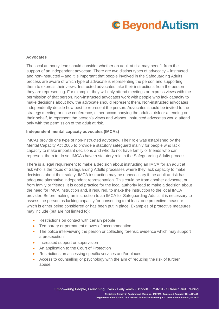#### **Advocates**

The local authority lead should consider whether an adult at risk may benefit from the support of an independent advocate. There are two distinct types of advocacy – instructed and non-instructed – and it is important that people involved in the Safeguarding Adults process are aware of which type of advocate is representing the person and supporting them to express their views. Instructed advocates take their instructions from the person they are representing. For example, they will only attend meetings or express views with the permission of that person. Non-instructed advocates work with people who lack capacity to make decisions about how the advocate should represent them. Non-instructed advocates independently decide how best to represent the person. Advocates should be invited to the strategy meeting or case conference, either accompanying the adult at risk or attending on their behalf, to represent the person's views and wishes. Instructed advocates would attend only with the permission of the adult at risk.

#### **Independent mental capacity advocates (IMCAs)**

IMCAs provide one type of non-instructed advocacy. Their role was established by the Mental Capacity Act 2005 to provide a statutory safeguard mainly for people who lack capacity to make important decisions and who do not have family or friends who can represent them to do so. IMCAs have a statutory role in the Safeguarding Adults process.

There is a legal requirement to make a decision about instructing an IMCA for an adult at risk who is the focus of Safeguarding Adults processes where they lack capacity to make decisions about their safety. IMCA instruction may be unnecessary if the adult at risk has adequate alternative independent representation. This could be from another advocate, or from family or friends. It is good practice for the local authority lead to make a decision about the need for IMCA instruction and, if required, to make the instruction to the local IMCA provider. Before making an instruction to an IMCA for Safeguarding Adults, it is necessary to assess the person as lacking capacity for consenting to at least one protective measure which is either being considered or has been put in place. Examples of protective measures may include (but are not limited to):

- Restrictions on contact with certain people
- Temporary or permanent moves of accommodation
- The police interviewing the person or collecting forensic evidence which may support a prosecution
- Increased support or supervision
- An application to the Court of Protection
- Restrictions on accessing specific services and/or places
- Access to counselling or psychology with the aim of reducing the risk of further abuse.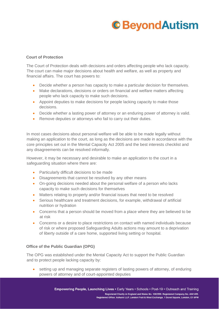#### **Court of Protection**

The Court of Protection deals with decisions and orders affecting people who lack capacity. The court can make major decisions about health and welfare, as well as property and financial affairs. The court has powers to:

- Decide whether a person has capacity to make a particular decision for themselves.
- Make declarations, decisions or orders on financial and welfare matters affecting people who lack capacity to make such decisions.
- Appoint deputies to make decisions for people lacking capacity to make those decisions.
- Decide whether a lasting power of attorney or an enduring power of attorney is valid.
- Remove deputies or attorneys who fail to carry out their duties.

In most cases decisions about personal welfare will be able to be made legally without making an application to the court, as long as the decisions are made in accordance with the core principles set out in the Mental Capacity Act 2005 and the best interests checklist and any disagreements can be resolved informally.

However, it may be necessary and desirable to make an application to the court in a safeguarding situation where there are:

- Particularly difficult decisions to be made
- Disagreements that cannot be resolved by any other means
- On-going decisions needed about the personal welfare of a person who lacks capacity to make such decisions for themselves
- Matters relating to property and/or financial issues that need to be resolved
- Serious healthcare and treatment decisions, for example, withdrawal of artificial nutrition or hydration
- Concerns that a person should be moved from a place where they are believed to be at risk
- Concerns or a desire to place restrictions on contact with named individuals because of risk or where proposed Safeguarding Adults actions may amount to a deprivation of liberty outside of a care home, supported living setting or hospital.

#### **Office of the Public Guardian (OPG)**

The OPG was established under the Mental Capacity Act to support the Public Guardian and to protect people lacking capacity by:

• setting up and managing separate registers of lasting powers of attorney, of enduring powers of attorney and of court-appointed deputies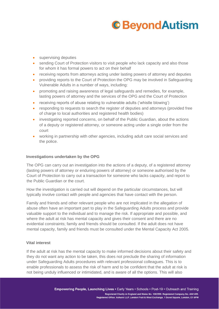- supervising deputies
- sending Court of Protection visitors to visit people who lack capacity and also those for whom it has formal powers to act on their behalf
- receiving reports from attorneys acting under lasting powers of attorney and deputies
- providing reports to the Court of Protection the OPG may be involved in Safeguarding Vulnerable Adults in a number of ways, including:
- promoting and raising awareness of legal safeguards and remedies, for example, lasting powers of attorney and the services of the OPG and the Court of Protection
- receiving reports of abuse relating to vulnerable adults ('whistle blowing')
- responding to requests to search the register of deputies and attorneys (provided free of charge to local authorities and registered health bodies)
- investigating reported concerns, on behalf of the Public Guardian, about the actions of a deputy or registered attorney, or someone acting under a single order from the court
- working in partnership with other agencies, including adult care social services and the police.

#### **Investigations undertaken by the OPG**

The OPG can carry out an investigation into the actions of a deputy, of a registered attorney (lasting powers of attorney or enduring powers of attorney) or someone authorised by the Court of Protection to carry out a transaction for someone who lacks capacity, and report to the Public Guardian or the court.

How the investigation is carried out will depend on the particular circumstances, but will typically involve contact with people and agencies that have contact with the person.

Family and friends and other relevant people who are not implicated in the allegation of abuse often have an important part to play in the Safeguarding Adults process and provide valuable support to the individual and to manage the risk. If appropriate and possible, and where the adult at risk has mental capacity and gives their consent and there are no evidential constraints; family and friends should be consulted. If the adult does not have mental capacity, family and friends must be consulted under the Mental Capacity Act 2005.

#### **Vital interest**

If the adult at risk has the mental capacity to make informed decisions about their safety and they do not want any action to be taken, this does not preclude the sharing of information under Safeguarding Adults procedures with relevant professional colleagues. This is to enable professionals to assess the risk of harm and to be confident that the adult at risk is not being unduly influenced or intimidated, and is aware of all the options. This will also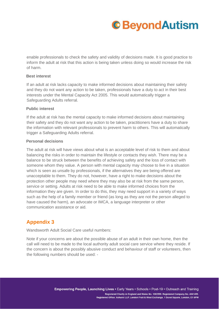enable professionals to check the safety and validity of decisions made. It is good practice to inform the adult at risk that this action is being taken unless doing so would increase the risk of harm.

#### **Best interest**

If an adult at risk lacks capacity to make informed decisions about maintaining their safety and they do not want any action to be taken, professionals have a duty to act in their best interests under the Mental Capacity Act 2005. This would automatically trigger a Safeguarding Adults referral.

#### **Public interest**

If the adult at risk has the mental capacity to make informed decisions about maintaining their safety and they do not want any action to be taken, practitioners have a duty to share the information with relevant professionals to prevent harm to others. This will automatically trigger a Safeguarding Adults referral.

#### **Personal decisions**

The adult at risk will have views about what is an acceptable level of risk to them and about balancing the risks in order to maintain the lifestyle or contacts they wish. There may be a balance to be struck between the benefits of achieving safety and the loss of contact with someone whom they value. A person with mental capacity may choose to live in a situation which is seen as unsafe by professionals, if the alternatives they are being offered are unacceptable to them. They do not, however, have a right to make decisions about the protection other people may need where they may also be at risk from the same person, service or setting. Adults at risk need to be able to make informed choices from the information they are given. In order to do this, they may need support in a variety of ways such as the help of a family member or friend (as long as they are not the person alleged to have caused the harm), an advocate or IMCA, a language interpreter or other communication assistance or aid.

### **Appendix 3**

Wandsworth Adult Social Care useful numbers:

Note if your concerns are about the possible abuse of an adult in their own home, then the call will need to be made to the local authority adult social care service where they reside. If the concern is about the possibly abusive conduct and behaviour of staff or volunteers, then the following numbers should be used: -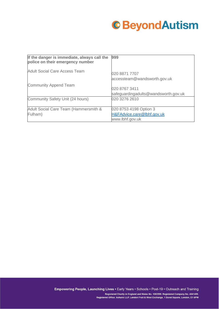

| If the danger is immediate, always call the<br>police on their emergency number | 999                                                                     |
|---------------------------------------------------------------------------------|-------------------------------------------------------------------------|
| <b>Adult Social Care Access Team</b>                                            | 020 8871 7707<br>accessteam@wandsworth.gov.uk                           |
| <b>Community Append Team</b>                                                    | 020 8767 3411<br>safeguardingadults@wandsworth.gov.uk                   |
| Community Safety Unit (24 hours)                                                | 020 3276 2610                                                           |
| Adult Social Care Team (Hammersmith &<br>Fulham)                                | 020 8753 4198 Option 3<br>H&FAdvice.care@lbhf.gov.uk<br>www.lbhf.gov.uk |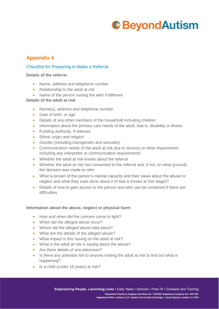### **Appendix 4**

#### Checklist for Preparing to Make a Referral

#### **Details of the referrer**

- Name, address and telephone number
- Relationship to the adult at risk
- Name of the person raising the alert if different

#### **Details of the adult at risk**

- Name(s), address and telephone number
- Date of birth, or age
- Details of any other members of the household including children
- Information about the primary care needs of the adult, that is, disability or illness
- Funding authority, if relevant
- Ethnic origin and religion
- Gender (including transgender and sexuality)
- Communication needs of the adult at risk due to sensory or other impairments including any interpreter or communication requirements
- Whether the adult at risk knows about the referral
- Whether the adult at risk has consented to the referral and, if not, on what grounds the decision was made to refer
- What is known of the person's mental capacity and their views about the abuse or neglect and what they want done about it (if that is known at this stage)?
- Details of how to gain access to the person and who can be contacted if there are difficulties

#### **Information about the abuse, neglect or physical harm**

- How and when did the concern come to light?
- When did the alleged abuse occur?
- Where did the alleged abuse take place?
- What are the details of the alleged abuse?
- What impact is this having on the adult at risk?
- What is the adult at risk is saying about the abuse?
- Are there details of any witnesses?
- Is there any potential risk to anyone visiting the adult at risk to find out what is happening?
- Is a child (under 18 years) at risk?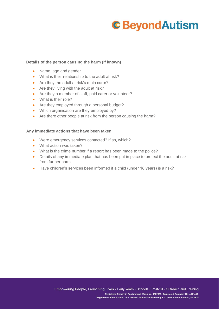#### **Details of the person causing the harm (if known)**

- Name, age and gender
- What is their relationship to the adult at risk?
- Are they the adult at risk's main carer?
- Are they living with the adult at risk?
- Are they a member of staff, paid carer or volunteer?
- What is their role?
- Are they employed through a personal budget?
- Which organisation are they employed by?
- Are there other people at risk from the person causing the harm?

#### **Any immediate actions that have been taken**

- Were emergency services contacted? If so, which?
- What action was taken?
- What is the crime number if a report has been made to the police?
- Details of any immediate plan that has been put in place to protect the adult at risk from further harm
- Have children's services been informed if a child (under 18 years) is a risk?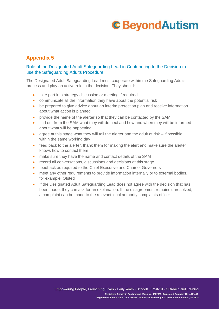### **Appendix 5**

#### Role of the Designated Adult Safeguarding Lead in Contributing to the Decision to use the Safeguarding Adults Procedure

The Designated Adult Safeguarding Lead must cooperate within the Safeguarding Adults process and play an active role in the decision. They should:

- take part in a strategy discussion or meeting if required
- communicate all the information they have about the potential risk
- be prepared to give advice about an interim protection plan and receive information about what action is planned
- provide the name of the alerter so that they can be contacted by the SAM
- find out from the SAM what they will do next and how and when they will be informed about what will be happening
- agree at this stage what they will tell the alerter and the adult at risk if possible within the same working day
- feed back to the alerter, thank them for making the alert and make sure the alerter knows how to contact them
- make sure they have the name and contact details of the SAM
- record all conversations, discussions and decisions at this stage
- feedback as required to the Chief Executive and Chair of Governors
- meet any other requirements to provide information internally or to external bodies, for example, Ofsted
- If the Designated Adult Safeguarding Lead does not agree with the decision that has been made, they can ask for an explanation. If the disagreement remains unresolved, a complaint can be made to the relevant local authority complaints officer.